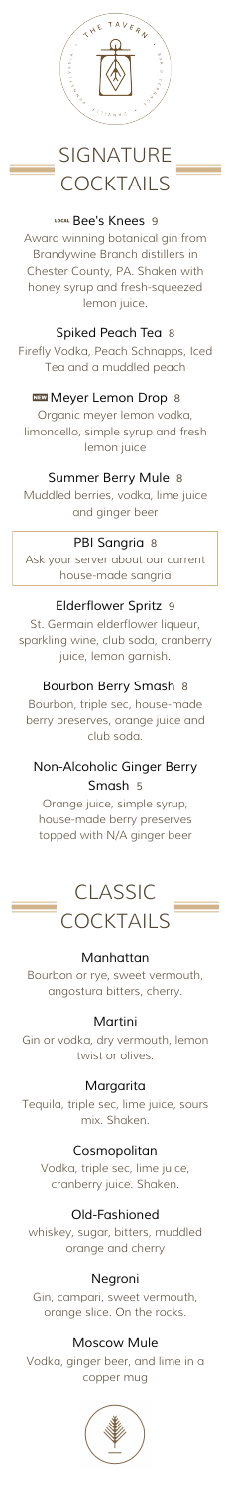

# SIGNATURE **COCKTAILS**

#### 7*Bee's Knees <sup>9</sup>*

Award winning botanical gin from Brandywine Branch distillers in Chester County, PA. Shaken with honey syrup and fresh-squeezed lemon juice.

#### *Spiked Peach Tea 8*

Firefly Vodka, Peach Schnapps, Iced Tea and a muddled peach

#### ,*Meyer Lemon Drop <sup>8</sup>*

Organic meyer lemon vodka, limoncello, simple syrup and fresh lemon juice

### *Summer Berry Mule 8*

Muddled berries, vodka, lime juice and ginger beer

# CLASSIC **COCKTAILS**

#### *PBI Sangria 8*

Ask your server about our current house-made sangria

### *Elderflower Spritz 9*

St. Germain elderflower liqueur, sparkling wine, club soda, cranberry juice, lemon garnish.

#### *Bourbon Berry Smash 8*

Bourbon, triple sec, house-made berry preserves, orange juice and club soda.

## *Non-Alcoholic Ginger Berry Smash 5*

Orange juice, simple syrup, house-made berry preserves topped with N/A ginger beer

### *Manhattan*

Bourbon or rye, sweet vermouth, angostura bitters, cherry.

### *Martini*

Gin or vodka, dry vermouth, lemon twist or olives.

#### *Margarita*

Tequila, triple sec, lime juice, sours mix. Shaken.

#### *Cosmopolitan*

Vodka, triple sec, lime juice, cranberry juice. Shaken.

### *Old-Fashioned*

whiskey, sugar, bitters, muddled orange and cherry

#### *Negroni*

Gin, campari, sweet vermouth, orange slice. On the rocks.

#### *Moscow Mule*

Vodka, ginger beer, and lime in a copper mug